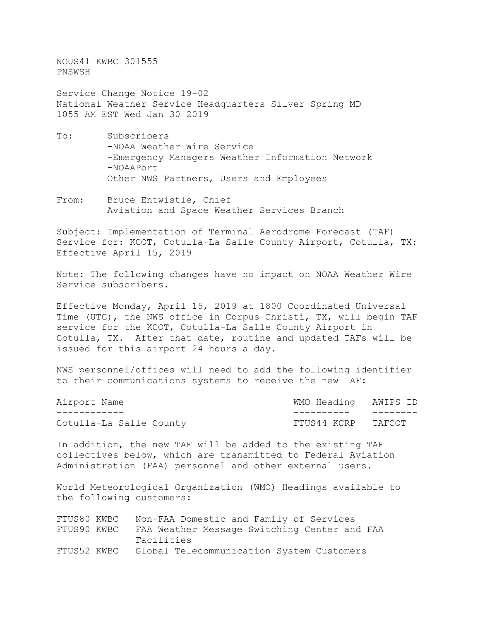NOUS41 KWBC 301555 PNSWSH

Service Change Notice 19-02 National Weather Service Headquarters Silver Spring MD 1055 AM EST Wed Jan 30 2019

- To: Subscribers -NOAA Weather Wire Service -Emergency Managers Weather Information Network -NOAAPort Other NWS Partners, Users and Employees
- From: Bruce Entwistle, Chief Aviation and Space Weather Services Branch

Subject: Implementation of Terminal Aerodrome Forecast (TAF) Service for: KCOT, Cotulla-La Salle County Airport, Cotulla, TX: Effective April 15, 2019

Note: The following changes have no impact on NOAA Weather Wire Service subscribers.

Effective Monday, April 15, 2019 at 1800 Coordinated Universal Time (UTC), the NWS office in Corpus Christi, TX, will begin TAF service for the KCOT, Cotulla-La Salle County Airport in Cotulla, TX. After that date, routine and updated TAFs will be issued for this airport 24 hours a day.

NWS personnel/offices will need to add the following identifier to their communications systems to receive the new TAF:

| Airport Name            | WMO Heading AWIPS ID |  |
|-------------------------|----------------------|--|
|                         |                      |  |
| Cotulla-La Salle County | FTUS44 KCRP TAFCOT   |  |

In addition, the new TAF will be added to the existing TAF collectives below, which are transmitted to Federal Aviation Administration (FAA) personnel and other external users.

World Meteorological Organization (WMO) Headings available to the following customers:

| FTUS80 KWBC | Non-FAA Domestic and Family of Services               |
|-------------|-------------------------------------------------------|
| FTUS90 KWBC | FAA Weather Message Switching Center and FAA          |
|             | Facilities                                            |
|             | FTUS52 KWBC Global Telecommunication System Customers |